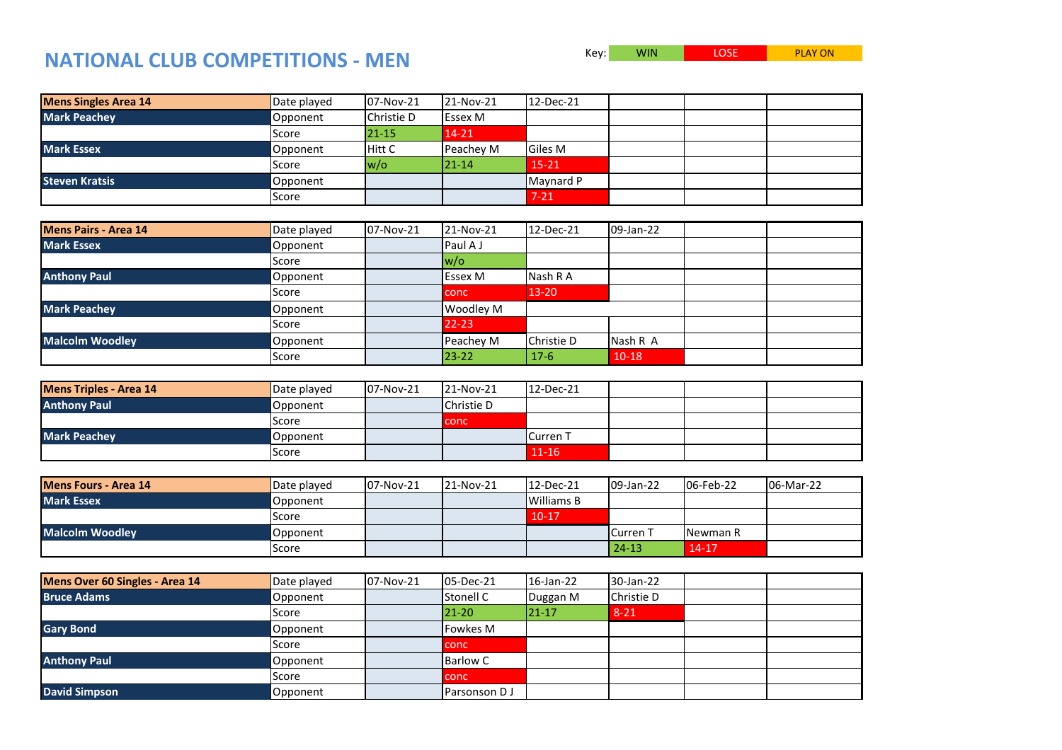## **NATIONAL CLUB COMPETITIONS - MEN**

Key: WIN LOSE PLAY ON

| <b>Mens Singles Area 14</b> | Date played  | 07-Nov-21     | 21-Nov-21      | 12-Dec-21      |  |  |
|-----------------------------|--------------|---------------|----------------|----------------|--|--|
| <b>Mark Peachey</b>         | Opponent     | Christie D    | <b>Essex M</b> |                |  |  |
|                             | <b>Score</b> | $21 - 15$     | 14-21          |                |  |  |
| <b>Mark Essex</b>           | Opponent     | <b>Hitt C</b> | Peachey M      | <b>Giles M</b> |  |  |
|                             | Score        | $ w/\sigma $  | $121 - 14$     | $15 - 21$      |  |  |
| <b>Steven Kratsis</b>       | Opponent     |               |                | Maynard P      |  |  |
|                             | Score        |               |                | $7 - 21$       |  |  |

| <b>Mens Pairs - Area 14</b> | Date played  | 07-Nov-21 | 21-Nov-21      | 12-Dec-21  | 09-Jan-22 |  |
|-----------------------------|--------------|-----------|----------------|------------|-----------|--|
| <b>Mark Essex</b>           | Opponent     |           | Paul A J       |            |           |  |
|                             | <b>Score</b> |           | $w/\sigma$     |            |           |  |
| <b>Anthony Paul</b>         | Opponent     |           | <b>Essex M</b> | Nash R A   |           |  |
|                             | Score        |           | <b>conc</b>    | $13 - 20$  |           |  |
| <b>Mark Peachey</b>         | Opponent     |           | Woodley M      |            |           |  |
|                             | Score        |           | $22 - 23$      |            |           |  |
| <b>Malcolm Woodley</b>      | Opponent     |           | Peachey M      | Christie D | Nash R A  |  |
|                             | Score        |           | $23 - 22$      | $17-6$     | $10-18$   |  |

| <b>Mens Triples - Area 14</b> | Date played | 07-Nov-21 | 21-Nov-21  | 12-Dec-21 |  |  |
|-------------------------------|-------------|-----------|------------|-----------|--|--|
| <b>Anthony Paul</b>           | Opponent    |           | Christie D |           |  |  |
|                               | Score       |           | conc       |           |  |  |
| <b>Mark Peachey</b>           | Opponent    |           |            | Curren 1  |  |  |
|                               | Score       |           |            | $11 - 16$ |  |  |

| Mens Fours - Area 14   | Date played | 07-Nov-21 | $ 21-Nov-21 $ | $12$ -Dec-21      | 09-Jan-22       | 06-Feb-22 | 106-Mar-22 |
|------------------------|-------------|-----------|---------------|-------------------|-----------------|-----------|------------|
| <b>Mark Essex</b>      | Opponent    |           |               | <b>Williams B</b> |                 |           |            |
|                        | Score       |           |               | $10-17$           |                 |           |            |
| <b>Malcolm Woodley</b> | Opponent    |           |               |                   | <b>Curren</b> 1 | Newman R  |            |
|                        | Score       |           |               |                   | $24 - 13$       | $14 - 17$ |            |

| Mens Over 60 Singles - Area 14 | Date played | 07-Nov-21 | 05-Dec-21       | 16-Jan-22 | 30-Jan-22  |  |
|--------------------------------|-------------|-----------|-----------------|-----------|------------|--|
| <b>Bruce Adams</b>             | Opponent    |           | Stonell C       | Duggan M  | Christie D |  |
|                                | Score       |           | $21 - 20$       | $21 - 17$ | $8 - 21$   |  |
| <b>Gary Bond</b>               | Opponent    |           | <b>Fowkes M</b> |           |            |  |
|                                | Score       |           | conc            |           |            |  |
| <b>Anthony Paul</b>            | Opponent    |           | <b>Barlow C</b> |           |            |  |
|                                | Score       |           | <b>conc</b>     |           |            |  |
| David Simpson                  | Opponent    |           | Parsonson DJ    |           |            |  |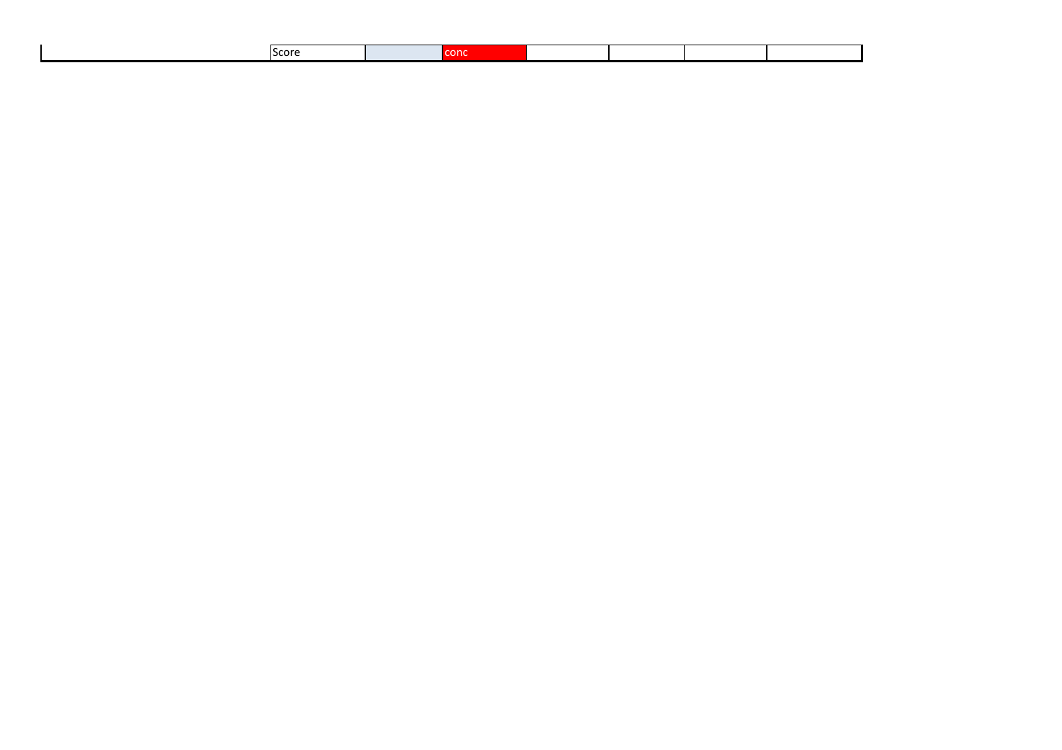|  |  | <b>IScore</b><br>- - - - |  |  |  |  |  |  |
|--|--|--------------------------|--|--|--|--|--|--|
|--|--|--------------------------|--|--|--|--|--|--|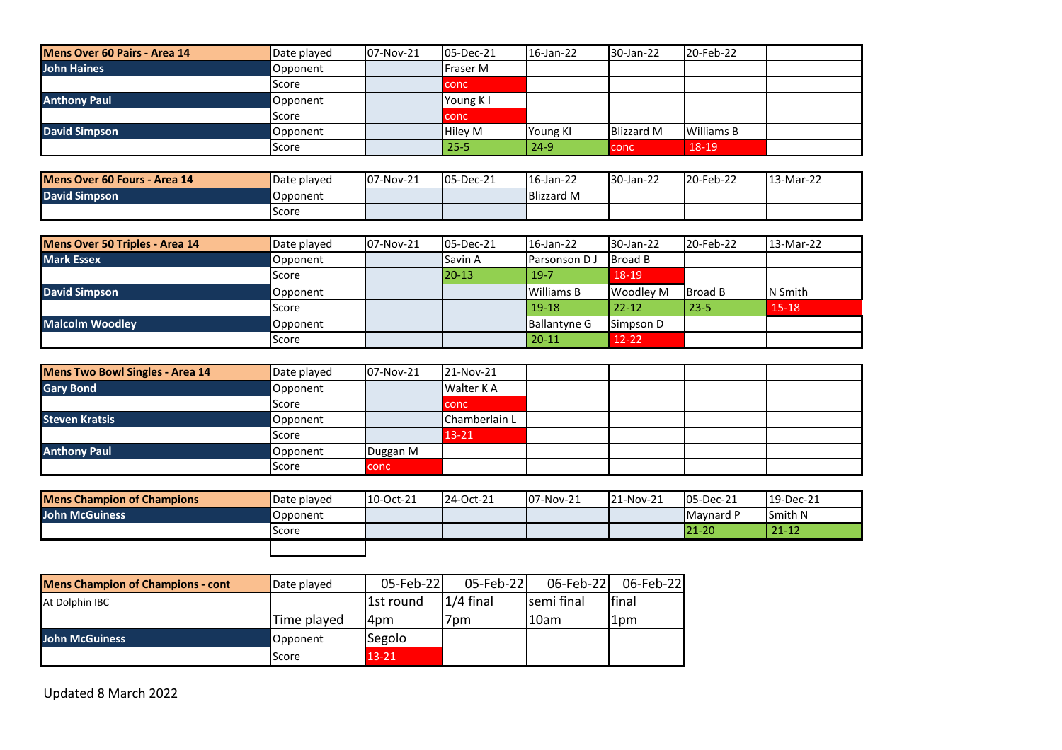| Mens Over 60 Pairs - Area 14 | Date played | 07-Nov-21 | 05-Dec-21       | 16-Jan-22 | 30-Jan-22         | 20-Feb-22         |  |
|------------------------------|-------------|-----------|-----------------|-----------|-------------------|-------------------|--|
| <b>John Haines</b>           | Opponent    |           | <b>Fraser M</b> |           |                   |                   |  |
|                              | Score       |           | l conc          |           |                   |                   |  |
| <b>Anthony Paul</b>          | Opponent    |           | Young K I       |           |                   |                   |  |
|                              | Score       |           | <b>L</b> conc   |           |                   |                   |  |
| David Simpson                | Opponent    |           | <b>Hiley M</b>  | Young KI  | <b>Blizzard M</b> | <b>Williams B</b> |  |
|                              | Score       |           | $25 - 5$        | $24 - 9$  | conc              | 18-19             |  |

| Mens Over 60 Fours - Area 14 | Date played | 07-Nov-21 | 05-Dec-21 | 16-Jan-22         | 30-Jan-22 | 20-Feb-22 | 13-Mar-22 |
|------------------------------|-------------|-----------|-----------|-------------------|-----------|-----------|-----------|
| <b>David Simpson</b>         | Opponent    |           |           | <b>Blizzard M</b> |           |           |           |
|                              | Score       |           |           |                   |           |           |           |

| <b>Mens Over 50 Triples - Area 14</b> | Date played | 07-Nov-21 | 05-Dec-21 | 16-Jan-22           | 30-Jan-22        | 20-Feb-22      | 13-Mar-22 |
|---------------------------------------|-------------|-----------|-----------|---------------------|------------------|----------------|-----------|
| <b>Mark Essex</b>                     | Opponent    |           | Savin A   | Parsonson D J       | Broad B          |                |           |
|                                       | Score       |           | $20 - 13$ | $19-7$              | 18-19            |                |           |
| <b>David Simpson</b>                  | Opponent    |           |           | Williams B          | <b>Woodley M</b> | <b>Broad B</b> | N Smith   |
|                                       | Score       |           |           | $19 - 18$           | $22 - 12$        | $23 - 5$       | $15 - 18$ |
| <b>Malcolm Woodley</b>                | Opponent    |           |           | <b>Ballantyne G</b> | Simpson D        |                |           |
|                                       | Score       |           |           | $20 - 11$           | $12 - 22$        |                |           |

| <b>Mens Two Bowl Singles - Area 14</b> | Date played | 07-Nov-21   | 21-Nov-21        |  |  |
|----------------------------------------|-------------|-------------|------------------|--|--|
| <b>Gary Bond</b>                       | Opponent    |             | <b>Walter KA</b> |  |  |
|                                        | Score       |             | <b>conc</b>      |  |  |
| <b>Steven Kratsis</b>                  | Opponent    |             | Chamberlain L    |  |  |
|                                        | Score       |             | $13 - 21$        |  |  |
| <b>Anthony Paul</b>                    | Opponent    | Duggan M    |                  |  |  |
|                                        | Score       | <b>conc</b> |                  |  |  |

| <b>Mens Champion of Champions</b> | Date played  | 10-Oct-21 | 24-Oct-21 | <b>07-Nov-21</b> | 21-Nov-21 | $ 05 - Dec-21 $ | $19$ -Dec-21   |
|-----------------------------------|--------------|-----------|-----------|------------------|-----------|-----------------|----------------|
| <b>John McGuiness</b>             | Opponent     |           |           |                  |           | Maynard P       | <b>Smith N</b> |
|                                   | <b>Score</b> |           |           |                  |           | $21 - 20$       | $21 - 12$      |
|                                   |              |           |           |                  |           |                 |                |

| <b>Mens Champion of Champions - cont</b> | Date played | 05-Feb-22 | 05-Feb-22  | 06-Feb-22   | 06-Feb-22 |
|------------------------------------------|-------------|-----------|------------|-------------|-----------|
| At Dolphin IBC                           |             | 1st round | l1/4 final | Isemi final | final     |
|                                          | Time played | 4pm       | 7pm        | 10am        | 1pm       |
| John McGuiness                           | Opponent    | Segolo    |            |             |           |
|                                          | Score       | $13 - 21$ |            |             |           |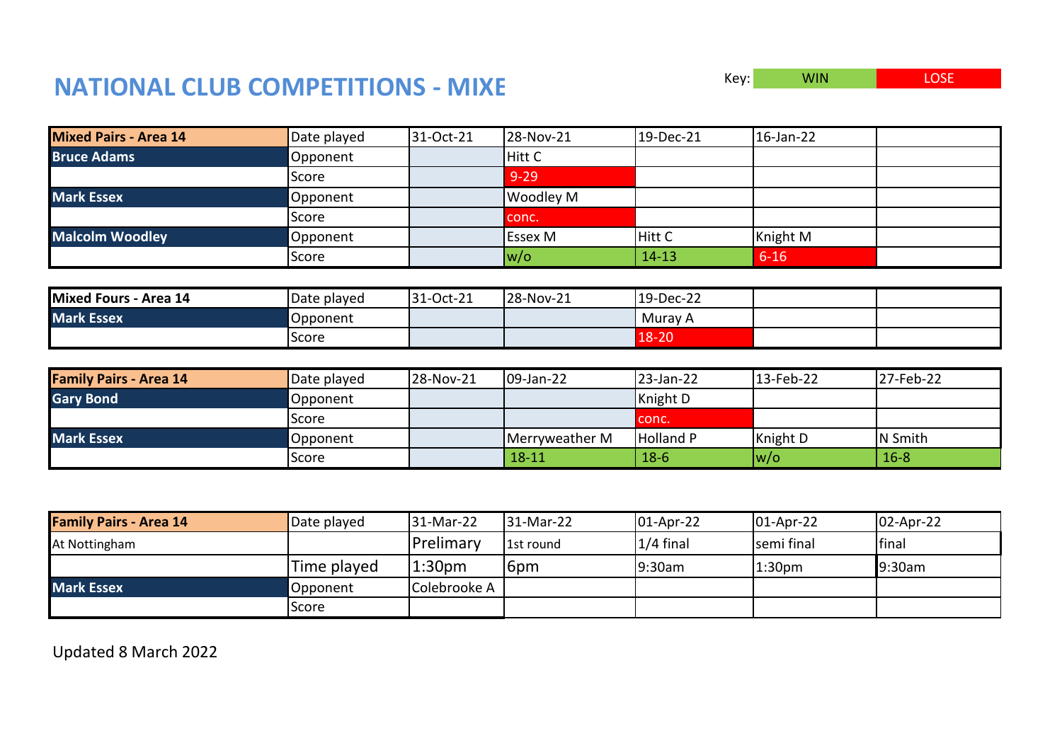## **NATIONAL CLUB COMPETITIONS - MIXE**

| Key: | <b>WIN</b> | <b>LOSE</b> |
|------|------------|-------------|
|------|------------|-------------|

| <b>Mixed Pairs - Area 14</b> | Date played | 31-Oct-21 | 28-Nov-21    | 19-Dec-21 | 16-Jan-22 |
|------------------------------|-------------|-----------|--------------|-----------|-----------|
| <b>Bruce Adams</b>           | Opponent    |           | Hitt C       |           |           |
|                              | Score       |           | $9 - 29$     |           |           |
| <b>Mark Essex</b>            | Opponent    |           | Woodley M    |           |           |
|                              | Score       |           | conc.        |           |           |
| <b>Malcolm Woodley</b>       | Opponent    |           | Essex M      | Hitt C    | Knight M  |
|                              | Score       |           | $ w/\sigma $ | $14 - 13$ | $6 - 16$  |
|                              |             |           |              |           |           |
| Mixed Fours - Area 14        | Date played | 31-Oct-21 | 28-Nov-21    | 19-Dec-22 |           |
| <b>Mark Essex</b>            | Opponent    |           |              | Muray A   |           |
|                              | Score       |           |              | 18-20     |           |

| <b>Family Pairs - Area 14</b> | Date played | 28-Nov-21 | $109$ -Jan-22  | 23-Jan-22        | 13-Feb-22   | 27-Feb-22 |
|-------------------------------|-------------|-----------|----------------|------------------|-------------|-----------|
| <b>Gary Bond</b>              | Opponent    |           |                | Knight D         |             |           |
|                               | Score       |           |                | conc.            |             |           |
| <b>Mark Essex</b>             | Opponent    |           | Merryweather M | <b>Holland P</b> | Knight D    | N Smith   |
|                               | lScore      |           | $18 - 11$      | $18-6$           | $ w/\circ $ | $16 - 8$  |

| <b>Family Pairs - Area 14</b> | Date played | 31-Mar-22          | 31-Mar-22  | $01$ -Apr-22 | $ 01-Apr-22 $      | $ 02 - Apr-22 $ |
|-------------------------------|-------------|--------------------|------------|--------------|--------------------|-----------------|
| At Nottingham                 |             | <b>Prelimary</b>   | l1st round | $1/4$ final  | semi final         | <b>I</b> final  |
|                               | Time played | 1:30 <sub>pm</sub> | 16pm       | 9:30am       | 1:30 <sub>pm</sub> | 9:30am          |
| <b>Mark Essex</b>             | Opponent    | Colebrooke A       |            |              |                    |                 |
|                               | Score       |                    |            |              |                    |                 |

Updated 8 March 2022